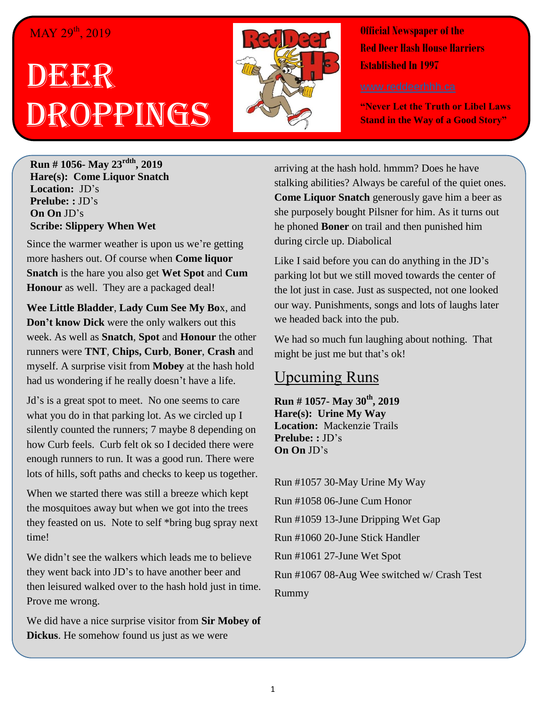## MAY 29<sup>th</sup>, 2019

# DEER Droppings



**Official Newspaper of the Red Deer Hash House Harriers Established In 1997** 

**"Never Let the Truth or Libel Laws Stand in the Way of a Good Story"**

**Run # 1056- May 23rdth, 2019 Hare(s): Come Liquor Snatch Location:** JD's **Prelube: :** JD's **On On** JD's **Scribe: Slippery When Wet**

Since the warmer weather is upon us we're getting more hashers out. Of course when **Come liquor Snatch** is the hare you also get **Wet Spot** and **Cum Honour** as well. They are a packaged deal!

**Wee Little Bladder**, **Lady Cum See My Bo**x, and **Don't know Dick** were the only walkers out this week. As well as **Snatch**, **Spot** and **Honour** the other runners were **TNT**, **Chips, Curb**, **Boner**, **Crash** and myself. A surprise visit from **Mobey** at the hash hold had us wondering if he really doesn't have a life.

Jd's is a great spot to meet. No one seems to care what you do in that parking lot. As we circled up I silently counted the runners; 7 maybe 8 depending on how Curb feels. Curb felt ok so I decided there were enough runners to run. It was a good run. There were lots of hills, soft paths and checks to keep us together.

When we started there was still a breeze which kept the mosquitoes away but when we got into the trees they feasted on us. Note to self \*bring bug spray next time!

We didn't see the walkers which leads me to believe they went back into JD's to have another beer and then leisured walked over to the hash hold just in time. Prove me wrong.

We did have a nice surprise visitor from **Sir Mobey of Dickus**. He somehow found us just as we were

arriving at the hash hold. hmmm? Does he have stalking abilities? Always be careful of the quiet ones. **Come Liquor Snatch** generously gave him a beer as she purposely bought Pilsner for him. As it turns out he phoned **Boner** on trail and then punished him during circle up. Diabolical

Like I said before you can do anything in the JD's parking lot but we still moved towards the center of the lot just in case. Just as suspected, not one looked our way. Punishments, songs and lots of laughs later we headed back into the pub.

We had so much fun laughing about nothing. That might be just me but that's ok!

## Upcuming Runs

**Run # 1057- May 30th, 2019 Hare(s): Urine My Way Location:** Mackenzie Trails **Prelube: :** JD's **On On** JD's

Run #1057 30-May Urine My Way Run #1058 06-June Cum Honor Run #1059 13-June Dripping Wet Gap Run #1060 20-June Stick Handler Run #1061 27-June Wet Spot Run #1067 08-Aug Wee switched w/ Crash Test Rummy